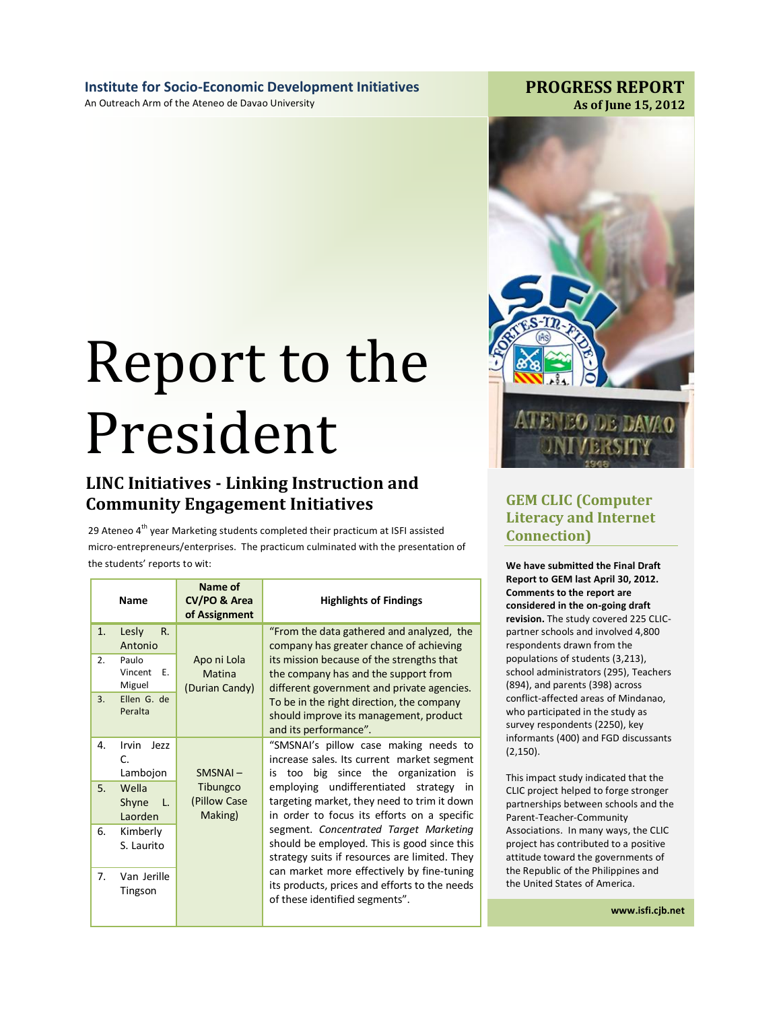**Institute for Socio-Economic Development Initiatives**  An Outreach Arm of the Ateneo de Davao University

# Report to the President

# **LINC Initiatives - Linking Instruction and Community Engagement Initiatives GEM CLIC (Computer**

29 Ateneo  $4^{\text{th}}$  year Marketing students completed their practicum at ISFI assisted micro-entrepreneurs/enterprises. The practicum culminated with the presentation of the students' reports to wit:

|    | <b>Name</b>                               | Name of<br>CV/PO & Area<br>of Assignment       | <b>Highlights of Findings</b>                                                                                                           |
|----|-------------------------------------------|------------------------------------------------|-----------------------------------------------------------------------------------------------------------------------------------------|
| 1. | Lesly<br>R.<br>Antonio                    |                                                | "From the data gathered and analyzed, the<br>company has greater chance of achieving                                                    |
| 2. | Paulo<br>Vincent<br>E.<br>Miguel          | Apo ni Lola<br><b>Matina</b><br>(Durian Candy) | its mission because of the strengths that<br>the company has and the support from<br>different government and private agencies.         |
| 3. | Ellen G. de<br>Peralta                    |                                                | To be in the right direction, the company<br>should improve its management, product<br>and its performance".                            |
| 4. | Irvin<br>Ie77<br>$\mathsf{C}$<br>Lambojon | SMSNAI-                                        | "SMSNAI's pillow case making needs to<br>increase sales. Its current market segment<br>big since the organization<br>too<br>is<br>is    |
| 5. | Wella<br>Shyne<br>- L.<br>Laorden         | Tibungco<br>(Pillow Case<br>Making)            | employing undifferentiated strategy<br>in<br>targeting market, they need to trim it down<br>in order to focus its efforts on a specific |
| 6. | Kimberly<br>S. Laurito                    |                                                | segment. Concentrated Target Marketing<br>should be employed. This is good since this<br>strategy suits if resources are limited. They  |
| 7. | Van Jerille<br>Tingson                    |                                                | can market more effectively by fine-tuning<br>its products, prices and efforts to the needs<br>of these identified segments".           |



# **Literacy and Internet Connection)**

**We have submitted the Final Draft Report to GEM last April 30, 2012. Comments to the report are considered in the on-going draft revision.** The study covered 225 CLICpartner schools and involved 4,800 respondents drawn from the populations of students (3,213), school administrators (295), Teachers (894), and parents (398) across conflict-affected areas of Mindanao, who participated in the study as survey respondents (2250), key informants (400) and FGD discussants (2,150).

This impact study indicated that the CLIC project helped to forge stronger partnerships between schools and the Parent-Teacher-Community Associations. In many ways, the CLIC project has contributed to a positive attitude toward the governments of the Republic of the Philippines and the United States of America.

**www.isfi.cjb.net**

## **PROGRESS REPORT As of June 15, 2012**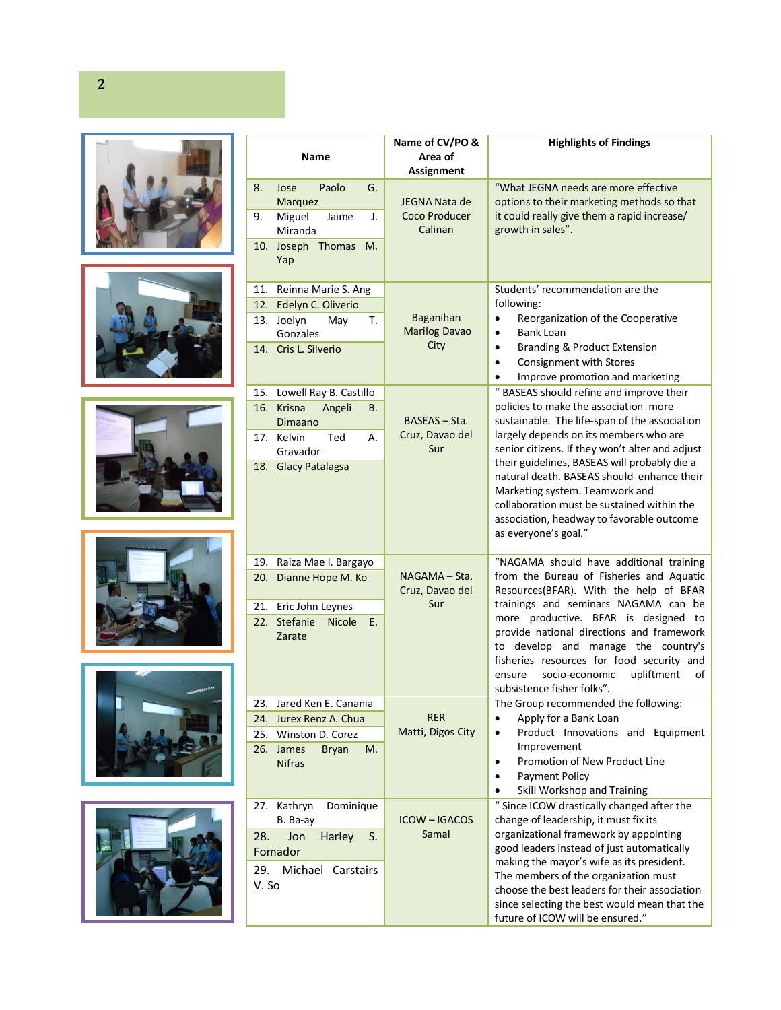











| Name  |                                             | Name of CV/PO &<br>Area of         | <b>Highlights of Findings</b>                                                                                                                                                                                                                                                                                                                |
|-------|---------------------------------------------|------------------------------------|----------------------------------------------------------------------------------------------------------------------------------------------------------------------------------------------------------------------------------------------------------------------------------------------------------------------------------------------|
|       |                                             | Assignment                         |                                                                                                                                                                                                                                                                                                                                              |
| 8.    | Paolo<br>G.<br>Jose                         | <b>JEGNA Nata de</b>               | "What JEGNA needs are more effective<br>options to their marketing methods so that                                                                                                                                                                                                                                                           |
| 9.    | Marquez<br>Miguel<br>Jaime<br>J.<br>Miranda | Coco Producer<br>Calinan           | it could really give them a rapid increase/<br>growth in sales".                                                                                                                                                                                                                                                                             |
|       | 10. Joseph Thomas<br>M.<br>Yap              |                                    |                                                                                                                                                                                                                                                                                                                                              |
| 11.   | Reinna Marie S. Ang                         |                                    | Students' recommendation are the                                                                                                                                                                                                                                                                                                             |
| 12.   | Edelyn C. Oliverio                          |                                    | following:                                                                                                                                                                                                                                                                                                                                   |
|       | 13. Joelyn<br>May<br>т.                     | Baganihan                          | Reorganization of the Cooperative<br>$\bullet$                                                                                                                                                                                                                                                                                               |
|       | Gonzales                                    | <b>Marilog Davao</b><br>City       | <b>Bank Loan</b><br>$\bullet$                                                                                                                                                                                                                                                                                                                |
|       | 14. Cris L. Silverio                        |                                    | Branding & Product Extension<br>$\bullet$<br>Consignment with Stores<br>$\bullet$<br>Improve promotion and marketing<br>$\bullet$                                                                                                                                                                                                            |
| 15.   | Lowell Ray B. Castillo                      |                                    | " BASEAS should refine and improve their                                                                                                                                                                                                                                                                                                     |
|       | 16. Krisna<br>Angeli<br>В.                  |                                    | policies to make the association more                                                                                                                                                                                                                                                                                                        |
|       | Dimaano                                     | BASEAS - Sta.                      | sustainable. The life-span of the association                                                                                                                                                                                                                                                                                                |
|       | 17. Kelvin<br>Ted<br>А.<br>Gravador         | Cruz, Davao del<br>Sur             | largely depends on its members who are<br>senior citizens. If they won't alter and adjust<br>their guidelines, BASEAS will probably die a<br>natural death. BASEAS should enhance their<br>Marketing system. Teamwork and<br>collaboration must be sustained within the<br>association, headway to favorable outcome<br>as everyone's goal." |
|       | 18. Glacy Patalagsa                         |                                    |                                                                                                                                                                                                                                                                                                                                              |
|       | 19. Raiza Mae I. Bargayo                    |                                    | "NAGAMA should have additional training                                                                                                                                                                                                                                                                                                      |
|       | 20. Dianne Hope M. Ko                       | $NAGAMA - Sta.$<br>Cruz, Davao del | from the Bureau of Fisheries and Aquatic<br>Resources(BFAR). With the help of BFAR                                                                                                                                                                                                                                                           |
|       | 21. Eric John Leynes                        | Sur                                | trainings and seminars NAGAMA can be                                                                                                                                                                                                                                                                                                         |
| 22.   | Stefanie<br><b>Nicole</b><br>Ε.<br>Zarate   |                                    | more productive. BFAR is designed to<br>provide national directions and framework<br>to develop and manage the country's<br>fisheries resources for food security and<br>socio-economic<br>upliftment<br>ensure<br>of<br>subsistence fisher folks".                                                                                          |
| 23.   | Jared Ken E. Canania                        |                                    | The Group recommended the following:                                                                                                                                                                                                                                                                                                         |
| 24.   | Jurex Renz A. Chua                          | <b>RER</b>                         | Apply for a Bank Loan<br>٠                                                                                                                                                                                                                                                                                                                   |
| 25.   | Winston D. Corez                            | Matti, Digos City                  | Product Innovations and Equipment<br>$\bullet$                                                                                                                                                                                                                                                                                               |
|       | 26. James<br><b>Bryan</b><br>M.             |                                    | Improvement<br>Promotion of New Product Line<br>$\bullet$                                                                                                                                                                                                                                                                                    |
|       | <b>Nifras</b>                               |                                    | Payment Policy<br>$\bullet$                                                                                                                                                                                                                                                                                                                  |
|       |                                             |                                    | Skill Workshop and Training<br>$\bullet$                                                                                                                                                                                                                                                                                                     |
| 27.   | Dominique<br>Kathryn                        |                                    | " Since ICOW drastically changed after the                                                                                                                                                                                                                                                                                                   |
|       | B. Ba-ay                                    | <b>ICOW-IGACOS</b>                 | change of leadership, it must fix its                                                                                                                                                                                                                                                                                                        |
| 28.   | Harley<br>Jon<br>S.                         | Samal                              | organizational framework by appointing                                                                                                                                                                                                                                                                                                       |
|       | Fomador                                     |                                    | good leaders instead of just automatically                                                                                                                                                                                                                                                                                                   |
| 29.   | Michael Carstairs                           |                                    | making the mayor's wife as its president.                                                                                                                                                                                                                                                                                                    |
| V. So |                                             |                                    | The members of the organization must                                                                                                                                                                                                                                                                                                         |
|       |                                             |                                    | choose the best leaders for their association<br>since selecting the best would mean that the                                                                                                                                                                                                                                                |
|       |                                             |                                    | future of ICOW will be ensured."                                                                                                                                                                                                                                                                                                             |